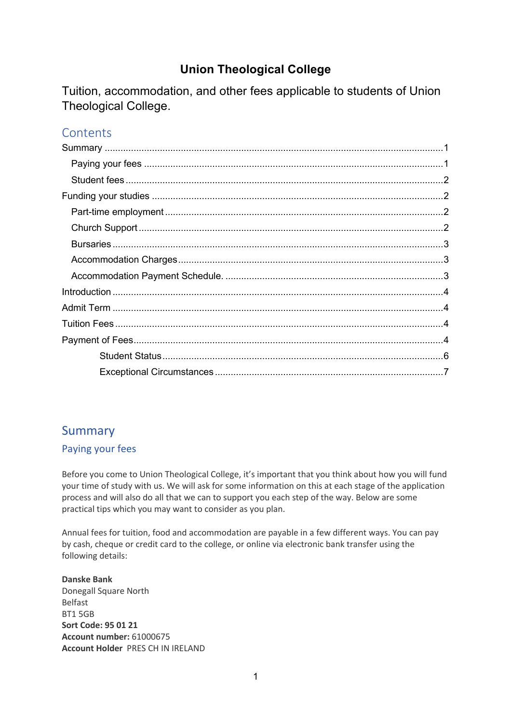# **Union Theological College**

Tuition, accommodation, and other fees applicable to students of Union Theological College.

# **Contents**

# Summary

## Paying your fees

Before you come to Union Theological College, it's important that you think about how you will fund your time of study with us. We will ask for some information on this at each stage of the application process and will also do all that we can to support you each step of the way. Below are some practical tips which you may want to consider as you plan.

Annual fees for tuition, food and accommodation are payable in a few different ways. You can pay by cash, cheque or credit card to the college, or online via electronic bank transfer using the following details:

**Danske Bank**  Donegall Square North Belfast BT1 5GB **Sort Code: 95 01 21 Account number:** 61000675 **Account Holder** PRES CH IN IRELAND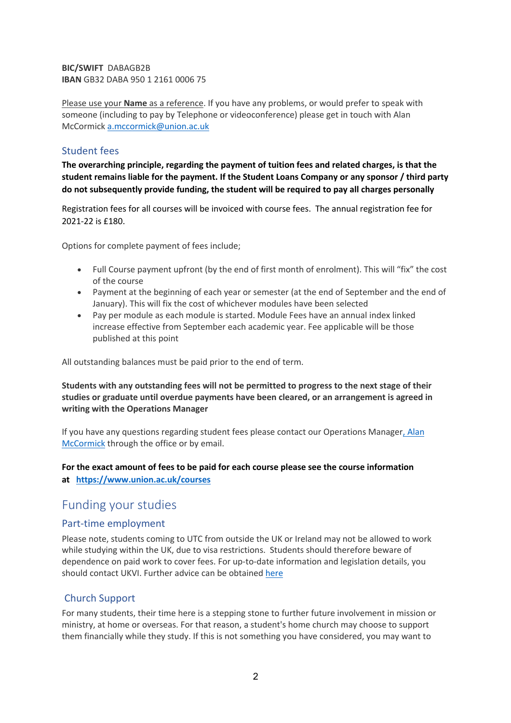**BIC/SWIFT** DABAGB2B **IBAN** GB32 DABA 950 1 2161 0006 75

Please use your **Name** as a reference. If you have any problems, or would prefer to speak with someone (including to pay by Telephone or videoconference) please get in touch with Alan McCormick a.mccormick@union.ac.uk

### Student fees

**The overarching principle, regarding the payment of tuition fees and related charges, is that the student remains liable for the payment. If the Student Loans Company or any sponsor / third party do not subsequently provide funding, the student will be required to pay all charges personally**

Registration fees for all courses will be invoiced with course fees. The annual registration fee for 2021-22 is £180.

Options for complete payment of fees include;

- Full Course payment upfront (by the end of first month of enrolment). This will "fix" the cost of the course
- Payment at the beginning of each year or semester (at the end of September and the end of January). This will fix the cost of whichever modules have been selected
- Pay per module as each module is started. Module Fees have an annual index linked increase effective from September each academic year. Fee applicable will be those published at this point

All outstanding balances must be paid prior to the end of term.

**Students with any outstanding fees will not be permitted to progress to the next stage of their studies or graduate until overdue payments have been cleared, or an arrangement is agreed in writing with the Operations Manager**

If you have any questions regarding student fees please contact our Operations Manager, Alan McCormick through the office or by email.

### **For the exact amount of fees to be paid for each course please see the course information at https://www.union.ac.uk/courses**

# Funding your studies

### Part-time employment

Please note, students coming to UTC from outside the UK or Ireland may not be allowed to work while studying within the UK, due to visa restrictions. Students should therefore beware of dependence on paid work to cover fees. For up-to-date information and legislation details, you should contact UKVI. Further advice can be obtained here

### Church Support

For many students, their time here is a stepping stone to further future involvement in mission or ministry, at home or overseas. For that reason, a student's home church may choose to support them financially while they study. If this is not something you have considered, you may want to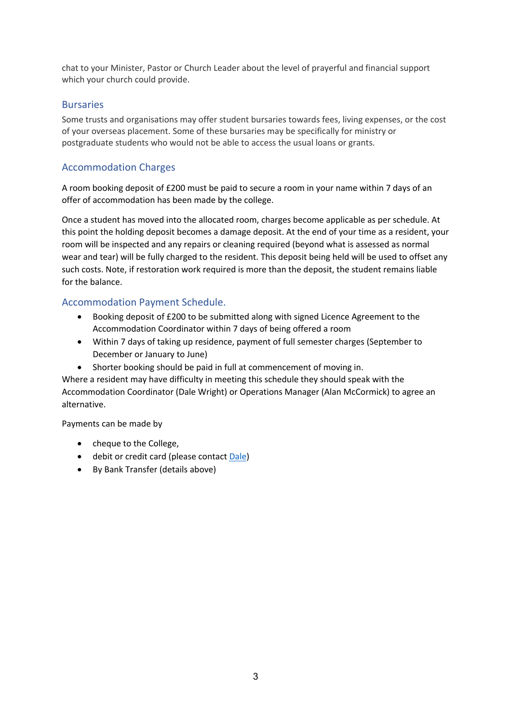chat to your Minister, Pastor or Church Leader about the level of prayerful and financial support which your church could provide.

### **Bursaries**

Some trusts and organisations may offer student bursaries towards fees, living expenses, or the cost of your overseas placement. Some of these bursaries may be specifically for ministry or postgraduate students who would not be able to access the usual loans or grants.

### Accommodation Charges

A room booking deposit of £200 must be paid to secure a room in your name within 7 days of an offer of accommodation has been made by the college.

Once a student has moved into the allocated room, charges become applicable as per schedule. At this point the holding deposit becomes a damage deposit. At the end of your time as a resident, your room will be inspected and any repairs or cleaning required (beyond what is assessed as normal wear and tear) will be fully charged to the resident. This deposit being held will be used to offset any such costs. Note, if restoration work required is more than the deposit, the student remains liable for the balance.

### Accommodation Payment Schedule.

- Booking deposit of £200 to be submitted along with signed Licence Agreement to the Accommodation Coordinator within 7 days of being offered a room
- Within 7 days of taking up residence, payment of full semester charges (September to December or January to June)
- Shorter booking should be paid in full at commencement of moving in.

Where a resident may have difficulty in meeting this schedule they should speak with the Accommodation Coordinator (Dale Wright) or Operations Manager (Alan McCormick) to agree an alternative.

Payments can be made by

- cheque to the College,
- debit or credit card (please contact Dale)
- By Bank Transfer (details above)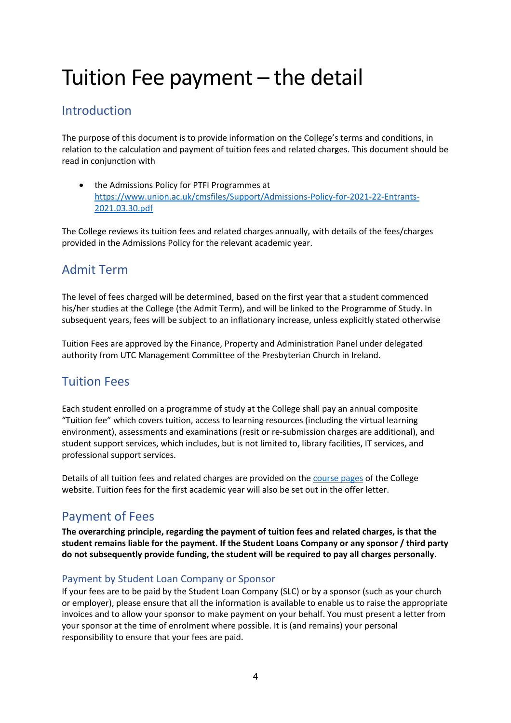# Tuition Fee payment – the detail

# Introduction

The purpose of this document is to provide information on the College's terms and conditions, in relation to the calculation and payment of tuition fees and related charges. This document should be read in conjunction with

• the Admissions Policy for PTFI Programmes at https://www.union.ac.uk/cmsfiles/Support/Admissions-Policy-for-2021-22-Entrants-2021.03.30.pdf

The College reviews its tuition fees and related charges annually, with details of the fees/charges provided in the Admissions Policy for the relevant academic year.

# Admit Term

The level of fees charged will be determined, based on the first year that a student commenced his/her studies at the College (the Admit Term), and will be linked to the Programme of Study. In subsequent years, fees will be subject to an inflationary increase, unless explicitly stated otherwise

Tuition Fees are approved by the Finance, Property and Administration Panel under delegated authority from UTC Management Committee of the Presbyterian Church in Ireland.

# Tuition Fees

Each student enrolled on a programme of study at the College shall pay an annual composite "Tuition fee" which covers tuition, access to learning resources (including the virtual learning environment), assessments and examinations (resit or re-submission charges are additional), and student support services, which includes, but is not limited to, library facilities, IT services, and professional support services.

Details of all tuition fees and related charges are provided on the course pages of the College website. Tuition fees for the first academic year will also be set out in the offer letter.

# Payment of Fees

**The overarching principle, regarding the payment of tuition fees and related charges, is that the student remains liable for the payment. If the Student Loans Company or any sponsor / third party do not subsequently provide funding, the student will be required to pay all charges personally**.

### Payment by Student Loan Company or Sponsor

If your fees are to be paid by the Student Loan Company (SLC) or by a sponsor (such as your church or employer), please ensure that all the information is available to enable us to raise the appropriate invoices and to allow your sponsor to make payment on your behalf. You must present a letter from your sponsor at the time of enrolment where possible. It is (and remains) your personal responsibility to ensure that your fees are paid.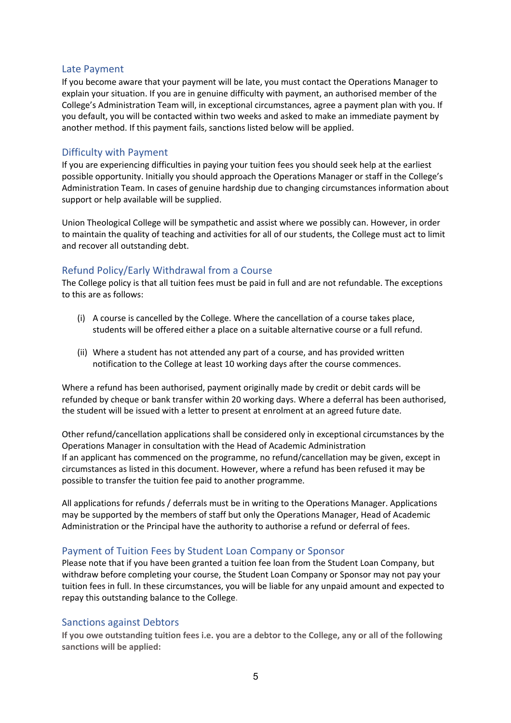#### Late Payment

If you become aware that your payment will be late, you must contact the Operations Manager to explain your situation. If you are in genuine difficulty with payment, an authorised member of the College's Administration Team will, in exceptional circumstances, agree a payment plan with you. If you default, you will be contacted within two weeks and asked to make an immediate payment by another method. If this payment fails, sanctions listed below will be applied.

#### Difficulty with Payment

If you are experiencing difficulties in paying your tuition fees you should seek help at the earliest possible opportunity. Initially you should approach the Operations Manager or staff in the College's Administration Team. In cases of genuine hardship due to changing circumstances information about support or help available will be supplied.

Union Theological College will be sympathetic and assist where we possibly can. However, in order to maintain the quality of teaching and activities for all of our students, the College must act to limit and recover all outstanding debt.

#### Refund Policy/Early Withdrawal from a Course

The College policy is that all tuition fees must be paid in full and are not refundable. The exceptions to this are as follows:

- (i) A course is cancelled by the College. Where the cancellation of a course takes place, students will be offered either a place on a suitable alternative course or a full refund.
- (ii) Where a student has not attended any part of a course, and has provided written notification to the College at least 10 working days after the course commences.

Where a refund has been authorised, payment originally made by credit or debit cards will be refunded by cheque or bank transfer within 20 working days. Where a deferral has been authorised, the student will be issued with a letter to present at enrolment at an agreed future date.

Other refund/cancellation applications shall be considered only in exceptional circumstances by the Operations Manager in consultation with the Head of Academic Administration If an applicant has commenced on the programme, no refund/cancellation may be given, except in circumstances as listed in this document. However, where a refund has been refused it may be possible to transfer the tuition fee paid to another programme.

All applications for refunds / deferrals must be in writing to the Operations Manager. Applications may be supported by the members of staff but only the Operations Manager, Head of Academic Administration or the Principal have the authority to authorise a refund or deferral of fees.

#### Payment of Tuition Fees by Student Loan Company or Sponsor

Please note that if you have been granted a tuition fee loan from the Student Loan Company, but withdraw before completing your course, the Student Loan Company or Sponsor may not pay your tuition fees in full. In these circumstances, you will be liable for any unpaid amount and expected to repay this outstanding balance to the College.

#### Sanctions against Debtors

**If you owe outstanding tuition fees i.e. you are a debtor to the College, any or all of the following sanctions will be applied:**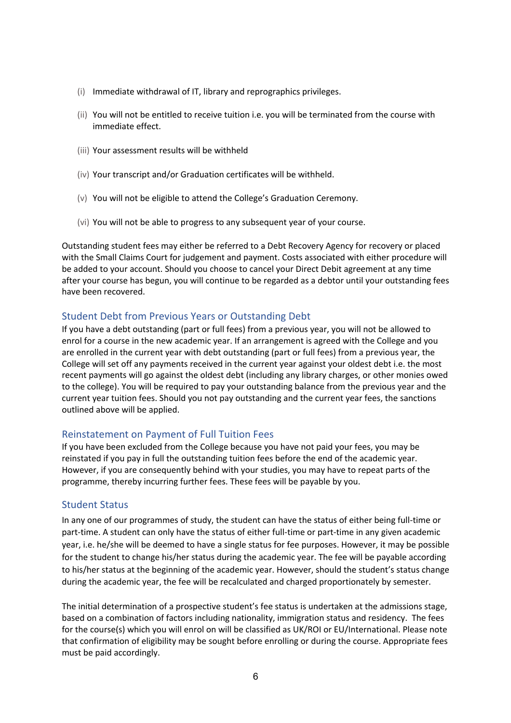- (i) Immediate withdrawal of IT, library and reprographics privileges.
- (ii) You will not be entitled to receive tuition i.e. you will be terminated from the course with immediate effect.
- (iii) Your assessment results will be withheld
- (iv) Your transcript and/or Graduation certificates will be withheld.
- (v) You will not be eligible to attend the College's Graduation Ceremony.
- (vi) You will not be able to progress to any subsequent year of your course.

Outstanding student fees may either be referred to a Debt Recovery Agency for recovery or placed with the Small Claims Court for judgement and payment. Costs associated with either procedure will be added to your account. Should you choose to cancel your Direct Debit agreement at any time after your course has begun, you will continue to be regarded as a debtor until your outstanding fees have been recovered.

### Student Debt from Previous Years or Outstanding Debt

If you have a debt outstanding (part or full fees) from a previous year, you will not be allowed to enrol for a course in the new academic year. If an arrangement is agreed with the College and you are enrolled in the current year with debt outstanding (part or full fees) from a previous year, the College will set off any payments received in the current year against your oldest debt i.e. the most recent payments will go against the oldest debt (including any library charges, or other monies owed to the college). You will be required to pay your outstanding balance from the previous year and the current year tuition fees. Should you not pay outstanding and the current year fees, the sanctions outlined above will be applied.

#### Reinstatement on Payment of Full Tuition Fees

If you have been excluded from the College because you have not paid your fees, you may be reinstated if you pay in full the outstanding tuition fees before the end of the academic year. However, if you are consequently behind with your studies, you may have to repeat parts of the programme, thereby incurring further fees. These fees will be payable by you.

#### Student Status

In any one of our programmes of study, the student can have the status of either being full-time or part-time. A student can only have the status of either full-time or part-time in any given academic year, i.e. he/she will be deemed to have a single status for fee purposes. However, it may be possible for the student to change his/her status during the academic year. The fee will be payable according to his/her status at the beginning of the academic year. However, should the student's status change during the academic year, the fee will be recalculated and charged proportionately by semester.

The initial determination of a prospective student's fee status is undertaken at the admissions stage, based on a combination of factors including nationality, immigration status and residency. The fees for the course(s) which you will enrol on will be classified as UK/ROI or EU/International. Please note that confirmation of eligibility may be sought before enrolling or during the course. Appropriate fees must be paid accordingly.